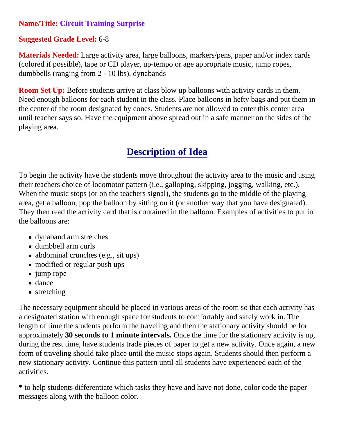## **Name/Title: Circuit Training Surprise**

## **Suggested Grade Level:** 6-8

**Materials Needed:** Large activity area, large balloons, markers/pens, paper and/or index cards (colored if possible), tape or CD player, up-tempo or age appropriate music, jump ropes, dumbbells (ranging from 2 - 10 lbs), dynabands

**Room Set Up:** Before students arrive at class blow up balloons with activity cards in them. Need enough balloons for each student in the class. Place balloons in hefty bags and put them in the center of the room designated by cones. Students are not allowed to enter this center area until teacher says so. Have the equipment above spread out in a safe manner on the sides of the playing area.

## **Description of Idea**

To begin the activity have the students move throughout the activity area to the music and using their teachers choice of locomotor pattern (i.e., galloping, skipping, jogging, walking, etc.). When the music stops (or on the teachers signal), the students go to the middle of the playing area, get a balloon, pop the balloon by sitting on it (or another way that you have designated). They then read the activity card that is contained in the balloon. Examples of activities to put in the balloons are:

- dynaband arm stretches
- dumbbell arm curls
- abdominal crunches (e.g., sit ups)
- modified or regular push ups
- jump rope
- dance
- stretching

The necessary equipment should be placed in various areas of the room so that each activity has a designated station with enough space for students to comfortably and safely work in. The length of time the students perform the traveling and then the stationary activity should be for approximately **30 seconds to 1 minute intervals.** Once the time for the stationary activity is up, during the rest time, have students trade pieces of paper to get a new activity. Once again, a new form of traveling should take place until the music stops again. Students should then perform a new stationary activity. Continue this pattern until all students have experienced each of the activities.

**\*** to help students differentiate which tasks they have and have not done, color code the paper messages along with the balloon color.